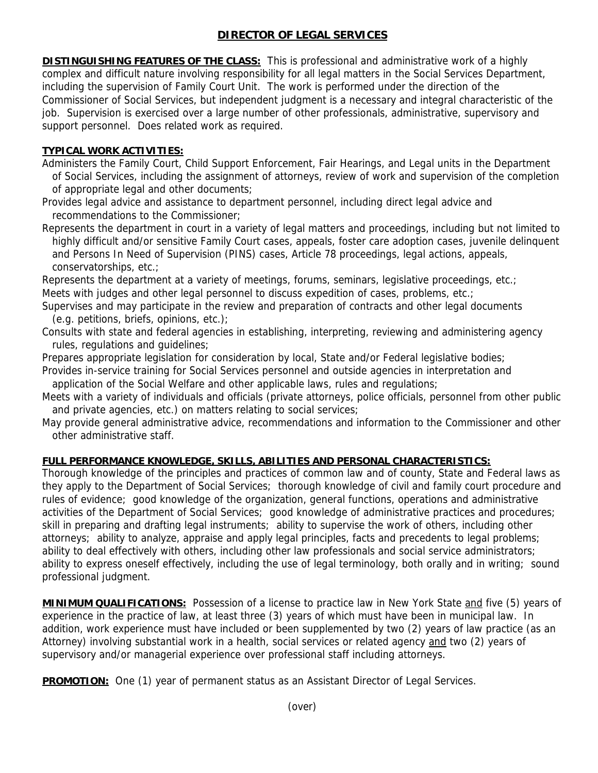## **DIRECTOR OF LEGAL SERVICES**

**DISTINGUISHING FEATURES OF THE CLASS:** This is professional and administrative work of a highly complex and difficult nature involving responsibility for all legal matters in the Social Services Department, including the supervision of Family Court Unit. The work is performed under the direction of the Commissioner of Social Services, but independent judgment is a necessary and integral characteristic of the job. Supervision is exercised over a large number of other professionals, administrative, supervisory and support personnel. Does related work as required.

## **TYPICAL WORK ACTIVITIES:**

Administers the Family Court, Child Support Enforcement, Fair Hearings, and Legal units in the Department of Social Services, including the assignment of attorneys, review of work and supervision of the completion of appropriate legal and other documents;

Provides legal advice and assistance to department personnel, including direct legal advice and recommendations to the Commissioner;

Represents the department in court in a variety of legal matters and proceedings, including but not limited to highly difficult and/or sensitive Family Court cases, appeals, foster care adoption cases, juvenile delinquent and Persons In Need of Supervision (PINS) cases, Article 78 proceedings, legal actions, appeals, conservatorships, etc.;

Represents the department at a variety of meetings, forums, seminars, legislative proceedings, etc.; Meets with judges and other legal personnel to discuss expedition of cases, problems, etc.;

- Supervises and may participate in the review and preparation of contracts and other legal documents (e.g. petitions, briefs, opinions, etc.);
- Consults with state and federal agencies in establishing, interpreting, reviewing and administering agency rules, regulations and guidelines;
- Prepares appropriate legislation for consideration by local, State and/or Federal legislative bodies;
- Provides in-service training for Social Services personnel and outside agencies in interpretation and application of the Social Welfare and other applicable laws, rules and regulations;
- Meets with a variety of individuals and officials (private attorneys, police officials, personnel from other public and private agencies, etc.) on matters relating to social services;
- May provide general administrative advice, recommendations and information to the Commissioner and other other administrative staff.

## **FULL PERFORMANCE KNOWLEDGE, SKILLS, ABILITIES AND PERSONAL CHARACTERISTICS:**

Thorough knowledge of the principles and practices of common law and of county, State and Federal laws as they apply to the Department of Social Services; thorough knowledge of civil and family court procedure and rules of evidence; good knowledge of the organization, general functions, operations and administrative activities of the Department of Social Services; good knowledge of administrative practices and procedures; skill in preparing and drafting legal instruments; ability to supervise the work of others, including other attorneys; ability to analyze, appraise and apply legal principles, facts and precedents to legal problems; ability to deal effectively with others, including other law professionals and social service administrators; ability to express oneself effectively, including the use of legal terminology, both orally and in writing; sound professional judgment.

**MINIMUM QUALIFICATIONS:** Possession of a license to practice law in New York State and five (5) years of experience in the practice of law, at least three (3) years of which must have been in municipal law. In addition, work experience must have included or been supplemented by two (2) years of law practice (as an Attorney) involving substantial work in a health, social services or related agency and two (2) years of supervisory and/or managerial experience over professional staff including attorneys.

**PROMOTION:** One (1) year of permanent status as an Assistant Director of Legal Services.